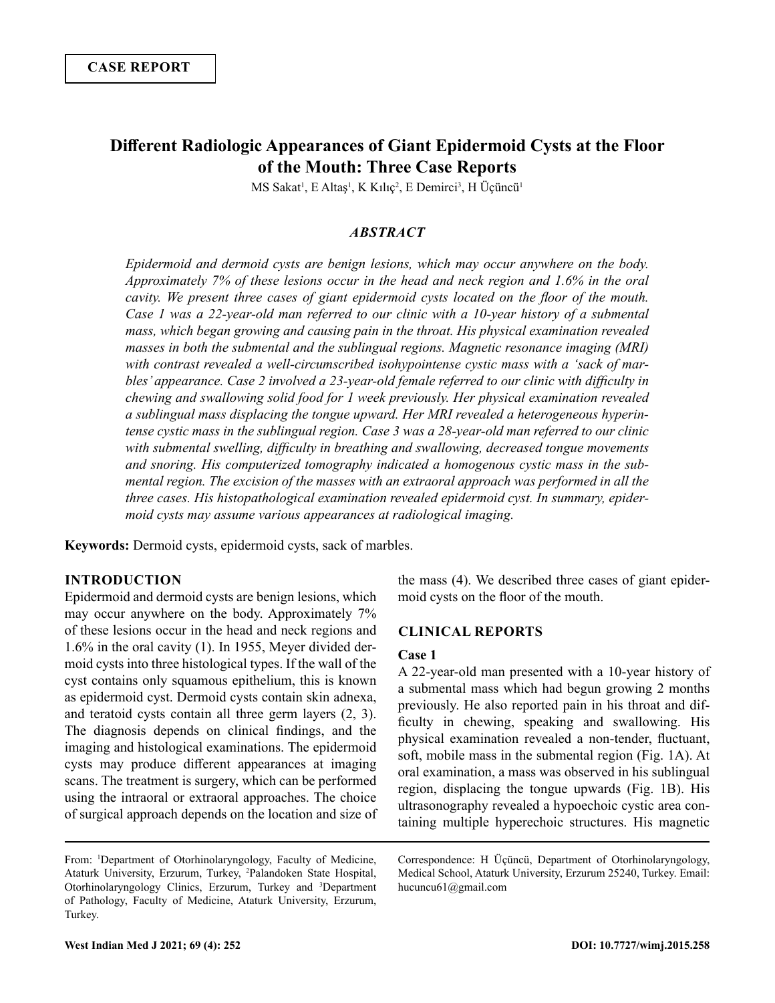# **Different Radiologic Appearances of Giant Epidermoid Cysts at the Floor of the Mouth: Three Case Reports**

MS Sakat<sup>1</sup>, E Altaş<sup>1</sup>, K Kılıç<sup>2</sup>, E Demirci<sup>3</sup>, H Üçüncü<sup>1</sup>

# *ABSTRACT*

*Epidermoid and dermoid cysts are benign lesions, which may occur anywhere on the body. Approximately 7% of these lesions occur in the head and neck region and 1.6% in the oral cavity. We present three cases of giant epidermoid cysts located on the floor of the mouth. Case 1 was a 22-year-old man referred to our clinic with a 10-year history of a submental mass, which began growing and causing pain in the throat. His physical examination revealed masses in both the submental and the sublingual regions. Magnetic resonance imaging (MRI) with contrast revealed a well-circumscribed isohypointense cystic mass with a 'sack of marbles' appearance. Case 2 involved a 23-year-old female referred to our clinic with difficulty in chewing and swallowing solid food for 1 week previously. Her physical examination revealed a sublingual mass displacing the tongue upward. Her MRI revealed a heterogeneous hyperintense cystic mass in the sublingual region. Case 3 was a 28-year-old man referred to our clinic with submental swelling, difficulty in breathing and swallowing, decreased tongue movements and snoring. His computerized tomography indicated a homogenous cystic mass in the submental region. The excision of the masses with an extraoral approach was performed in all the three cases. His histopathological examination revealed epidermoid cyst. In summary, epidermoid cysts may assume various appearances at radiological imaging.*

**Keywords:** Dermoid cysts, epidermoid cysts, sack of marbles.

### **INTRODUCTION**

Epidermoid and dermoid cysts are benign lesions, which may occur anywhere on the body. Approximately 7% of these lesions occur in the head and neck regions and 1.6% in the oral cavity (1). In 1955, Meyer divided dermoid cysts into three histological types. If the wall of the cyst contains only squamous epithelium, this is known as epidermoid cyst. Dermoid cysts contain skin adnexa, and teratoid cysts contain all three germ layers (2, 3). The diagnosis depends on clinical findings, and the imaging and histological examinations. The epidermoid cysts may produce different appearances at imaging scans. The treatment is surgery, which can be performed using the intraoral or extraoral approaches. The choice of surgical approach depends on the location and size of the mass (4). We described three cases of giant epidermoid cysts on the floor of the mouth.

#### **CLINICAL REPORTS**

#### **Case 1**

A 22-year-old man presented with a 10-year history of a submental mass which had begun growing 2 months previously. He also reported pain in his throat and difficulty in chewing, speaking and swallowing. His physical examination revealed a non-tender, fluctuant, soft, mobile mass in the submental region (Fig. 1A). At oral examination, a mass was observed in his sublingual region, displacing the tongue upwards (Fig. 1B). His ultrasonography revealed a hypoechoic cystic area containing multiple hyperechoic structures. His magnetic

Correspondence: H Üçüncü, Department of Otorhinolaryngology, Medical School, Ataturk University, Erzurum 25240, Turkey. Email: hucuncu61@gmail.com

From: <sup>1</sup> Department of Otorhinolaryngology, Faculty of Medicine, Ataturk University, Erzurum, Turkey, <sup>2</sup> Palandoken State Hospital, Otorhinolaryngology Clinics, Erzurum, Turkey and <sup>3</sup>Department of Pathology, Faculty of Medicine, Ataturk University, Erzurum, Turkey.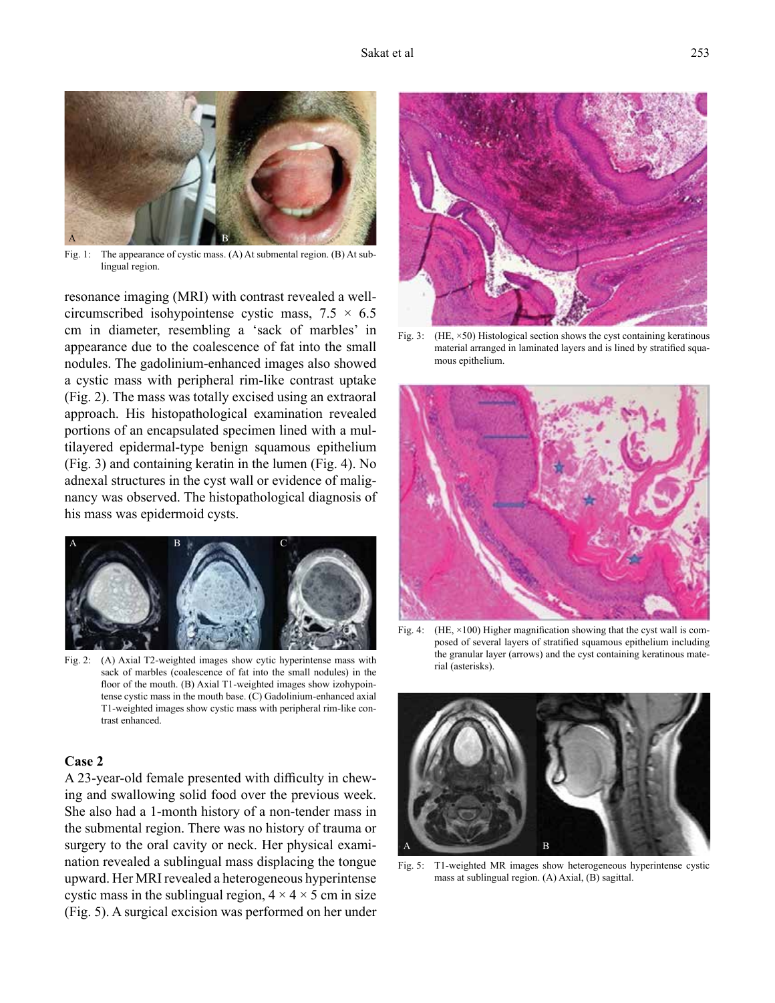

Fig. 1: The appearance of cystic mass. (A) At submental region. (B) At sublingual region.

resonance imaging (MRI) with contrast revealed a wellcircumscribed isohypointense cystic mass,  $7.5 \times 6.5$ cm in diameter, resembling a 'sack of marbles' in appearance due to the coalescence of fat into the small nodules. The gadolinium-enhanced images also showed a cystic mass with peripheral rim-like contrast uptake (Fig. 2). The mass was totally excised using an extraoral approach. His histopathological examination revealed portions of an encapsulated specimen lined with a multilayered epidermal-type benign squamous epithelium (Fig. 3) and containing keratin in the lumen (Fig. 4). No adnexal structures in the cyst wall or evidence of malignancy was observed. The histopathological diagnosis of his mass was epidermoid cysts.



Fig. 2: (A) Axial T2-weighted images show cytic hyperintense mass with sack of marbles (coalescence of fat into the small nodules) in the floor of the mouth. (B) Axial T1-weighted images show izohypointense cystic mass in the mouth base. (C) Gadolinium-enhanced axial T1-weighted images show cystic mass with peripheral rim-like contrast enhanced.

# **Case 2**

A 23-year-old female presented with difficulty in chewing and swallowing solid food over the previous week. She also had a 1-month history of a non-tender mass in the submental region. There was no history of trauma or surgery to the oral cavity or neck. Her physical examination revealed a sublingual mass displacing the tongue upward. Her MRI revealed a heterogeneous hyperintense cystic mass in the sublingual region,  $4 \times 4 \times 5$  cm in size (Fig. 5). A surgical excision was performed on her under



Fig. 3: (HE,  $\times$  50) Histological section shows the cyst containing keratinous material arranged in laminated layers and is lined by stratified squamous epithelium.



Fig. 4: (HE,  $\times$ 100) Higher magnification showing that the cyst wall is composed of several layers of stratified squamous epithelium including the granular layer (arrows) and the cyst containing keratinous material (asterisks).



Fig. 5: T1-weighted MR images show heterogeneous hyperintense cystic mass at sublingual region. (A) Axial, (B) sagittal.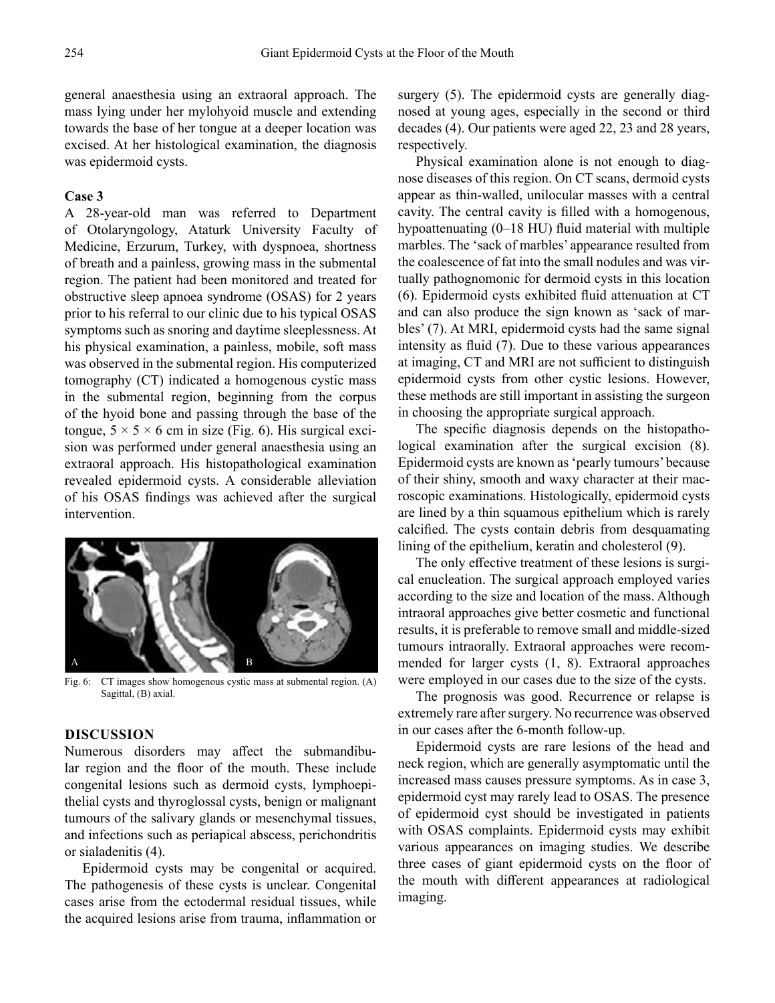general anaesthesia using an extraoral approach. The mass lying under her mylohyoid muscle and extending towards the base of her tongue at a deeper location was excised. At her histological examination, the diagnosis was epidermoid cysts.

#### **Case 3**

A 28-year-old man was referred to Department of Otolaryngology, Ataturk University Faculty of Medicine, Erzurum, Turkey, with dyspnoea, shortness of breath and a painless, growing mass in the submental region. The patient had been monitored and treated for obstructive sleep apnoea syndrome (OSAS) for 2 years prior to his referral to our clinic due to his typical OSAS symptoms such as snoring and daytime sleeplessness. At his physical examination, a painless, mobile, soft mass was observed in the submental region. His computerized tomography (CT) indicated a homogenous cystic mass in the submental region, beginning from the corpus of the hyoid bone and passing through the base of the tongue,  $5 \times 5 \times 6$  cm in size (Fig. 6). His surgical excision was performed under general anaesthesia using an extraoral approach. His histopathological examination revealed epidermoid cysts. A considerable alleviation of his OSAS findings was achieved after the surgical intervention.



Fig. 6: CT images show homogenous cystic mass at submental region. (A) Sagittal, (B) axial.

# **DISCUSSION**

Numerous disorders may affect the submandibular region and the floor of the mouth. These include congenital lesions such as dermoid cysts, lymphoepithelial cysts and thyroglossal cysts, benign or malignant tumours of the salivary glands or mesenchymal tissues, and infections such as periapical abscess, perichondritis or sialadenitis (4).

Epidermoid cysts may be congenital or acquired. The pathogenesis of these cysts is unclear. Congenital cases arise from the ectodermal residual tissues, while the acquired lesions arise from trauma, inflammation or surgery (5). The epidermoid cysts are generally diagnosed at young ages, especially in the second or third decades (4). Our patients were aged 22, 23 and 28 years, respectively.

Physical examination alone is not enough to diagnose diseases of this region. On CT scans, dermoid cysts appear as thin-walled, unilocular masses with a central cavity. The central cavity is filled with a homogenous, hypoattenuating (0–18 HU) fluid material with multiple marbles. The 'sack of marbles' appearance resulted from the coalescence of fat into the small nodules and was virtually pathognomonic for dermoid cysts in this location (6). Epidermoid cysts exhibited fluid attenuation at CT and can also produce the sign known as 'sack of marbles' (7). At MRI, epidermoid cysts had the same signal intensity as fluid (7). Due to these various appearances at imaging, CT and MRI are not sufficient to distinguish epidermoid cysts from other cystic lesions. However, these methods are still important in assisting the surgeon in choosing the appropriate surgical approach.

The specific diagnosis depends on the histopathological examination after the surgical excision (8). Epidermoid cysts are known as 'pearly tumours' because of their shiny, smooth and waxy character at their macroscopic examinations. Histologically, epidermoid cysts are lined by a thin squamous epithelium which is rarely calcified. The cysts contain debris from desquamating lining of the epithelium, keratin and cholesterol (9).

The only effective treatment of these lesions is surgical enucleation. The surgical approach employed varies according to the size and location of the mass. Although intraoral approaches give better cosmetic and functional results, it is preferable to remove small and middle-sized tumours intraorally. Extraoral approaches were recommended for larger cysts (1, 8). Extraoral approaches were employed in our cases due to the size of the cysts.

The prognosis was good. Recurrence or relapse is extremely rare after surgery. No recurrence was observed in our cases after the 6-month follow-up.

Epidermoid cysts are rare lesions of the head and neck region, which are generally asymptomatic until the increased mass causes pressure symptoms. As in case 3, epidermoid cyst may rarely lead to OSAS. The presence of epidermoid cyst should be investigated in patients with OSAS complaints. Epidermoid cysts may exhibit various appearances on imaging studies. We describe three cases of giant epidermoid cysts on the floor of the mouth with different appearances at radiological imaging.